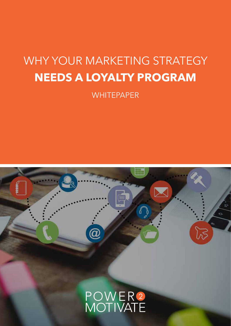## WHY YOUR MARKETING STRATEGY **NEEDS A LOYALTY PROGRAM**

**WHITEPAPER** 

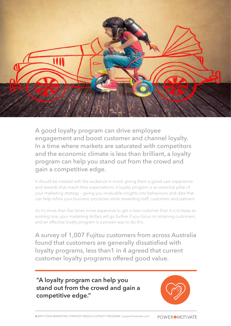

A good loyalty program can drive employee engagement and boost customer and channel loyalty. In a time where markets are saturated with competitors and the economic climate is less than brilliant, a loyalty program can help you stand out from the crowd and gain a competitive edge.

It should be created with the audience in mind, giving them a good user experience and rewards that match their expectations. A loyalty program is an essential pillar of your marketing strategy – giving you invaluable insights into behaviours and data that can help refine your business processes while rewarding staff, customers and partners.

As it's more than five times more expensive to get a new customer than it is to keep an existing one, your marketing dollars will go further if you focus on retaining customers, and an effective loyalty program is a proven way to do this.

A survey of 1,007 Fujitsu customers from across Australia found that customers are generally dissatisfied with loyalty programs, less than1 in 4 agreed that current customer loyalty programs offered good value.

**"A loyalty program can help you stand out from the crowd and gain a competitive edge."**

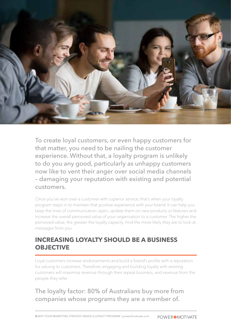

To create loyal customers, or even happy customers for that matter, you need to be nailing the customer experience. Without that, a loyalty program is unlikely to do you any good, particularly as unhappy customers now like to vent their anger over social media channels – damaging your reputation with existing and potential customers.

Once you've won over a customer with superior service, that's when your loyalty program steps in to maintain that positive experience with your brand. It can help you keep the lines of communication open, update them on new products or features and increase the overall perceived value of your organisation to a customer. The higher the perceived value, the greater the loyalty capacity. And the more likely they are to look at messages from you.

#### **INCREASING LOYALTY SHOULD BE A BUSINESS OBJECTIVE**

Loyal customers increase endorsements and build a brand's profile with a reputation for valuing its customers. Therefore, engaging and building loyalty with existing customers will maximise revenue through their repeat business, and revenue from the people they refer.

#### The loyalty factor: 80% of Australians buy more from companies whose programs they are a member of.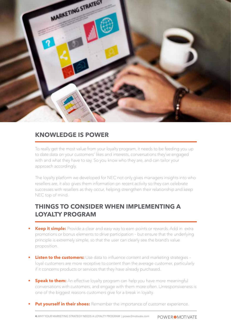

#### **KNOWLEDGE IS POWER**

To really get the most value from your loyalty program, it needs to be feeding you up to date data on your customers' likes and interests, conversations they've engaged with and what they have to say. So you know who they are, and can tailor your approach accordingly.

The loyalty platform we developed for NEC not only gives managers insights into who resellers are, it also gives them information on recent activity so they can celebrate successes with resellers as they occur, helping strengthen their relationship and keep NEC top of mind.

#### **THINGS TO CONSIDER WHEN IMPLEMENTING A LOYALTY PROGRAM**

- **Keep it simple:** Provide a clear and easy way to earn points or rewards. Add in extra promotions or bonus elements to drive participation – but ensure that the underlying principle is extremely simple, so that the user can clearly see the brand's value proposition.
- **Listen to the customers:** Use data to influence content and marketing strategies loyal customers are more receptive to content than the average customer, particularly if it concerns products or services that they have already purchased.
- *Speak to them:* An effective loyalty program can help you have more meaningful conversations with customers, and engage with them more often. Unresponsiveness is one of the biggest reasons customers give for a break in loyalty.
- **Put yourself in their shoes:** Remember the importance of customer experience.